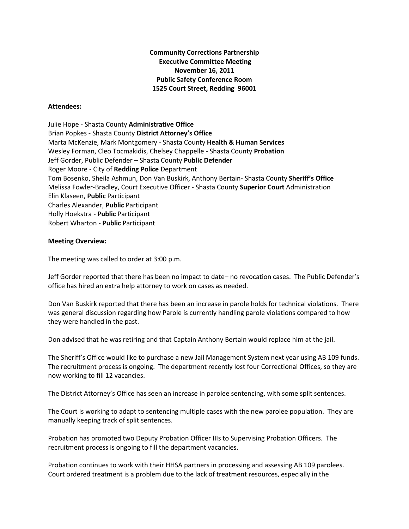## **Community Corrections Partnership Executive Committee Meeting November 16, 2011 Public Safety Conference Room 1525 Court Street, Redding 96001**

## **Attendees:**

Julie Hope - Shasta County **Administrative Office** Brian Popkes - Shasta County **District Attorney's Office** Marta McKenzie, Mark Montgomery - Shasta County **Health & Human Services** Wesley Forman, Cleo Tocmakidis, Chelsey Chappelle - Shasta County **Probation** Jeff Gorder, Public Defender – Shasta County **Public Defender** Roger Moore - City of **Redding Police** Department Tom Bosenko, Sheila Ashmun, Don Van Buskirk, Anthony Bertain- Shasta County **Sheriff's Office** Melissa Fowler-Bradley, Court Executive Officer - Shasta County **Superior Court** Administration Elin Klaseen, **Public** Participant Charles Alexander, **Public** Participant Holly Hoekstra - **Public** Participant Robert Wharton - **Public** Participant

## **Meeting Overview:**

The meeting was called to order at 3:00 p.m.

Jeff Gorder reported that there has been no impact to date– no revocation cases. The Public Defender's office has hired an extra help attorney to work on cases as needed.

Don Van Buskirk reported that there has been an increase in parole holds for technical violations. There was general discussion regarding how Parole is currently handling parole violations compared to how they were handled in the past.

Don advised that he was retiring and that Captain Anthony Bertain would replace him at the jail.

The Sheriff's Office would like to purchase a new Jail Management System next year using AB 109 funds. The recruitment process is ongoing. The department recently lost four Correctional Offices, so they are now working to fill 12 vacancies.

The District Attorney's Office has seen an increase in parolee sentencing, with some split sentences.

The Court is working to adapt to sentencing multiple cases with the new parolee population. They are manually keeping track of split sentences.

Probation has promoted two Deputy Probation Officer IIIs to Supervising Probation Officers. The recruitment process is ongoing to fill the department vacancies.

Probation continues to work with their HHSA partners in processing and assessing AB 109 parolees. Court ordered treatment is a problem due to the lack of treatment resources, especially in the